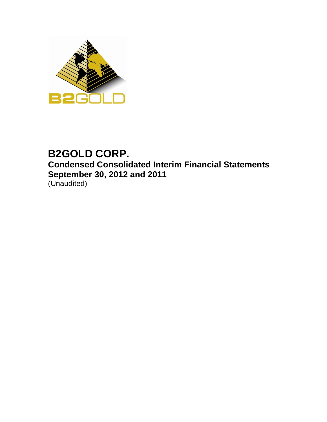

# **B2GOLD CORP. Condensed Consolidated Interim Financial Statements September 30, 2012 and 2011** (Unaudited)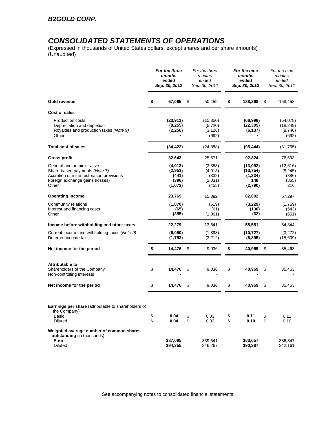# *CONSOLIDATED STATEMENTS OF OPERATIONS*

(Expressed in thousands of United States dollars, except shares and per share amounts) (Unaudited)

|                                                                                                                                                     |          | For the three<br>months<br>ended<br>Sep. 30, 2012 | For the three<br>months<br>ended<br>Sep. 30, 2011 |          | For the nine<br>months<br>ended<br>Sep. 30, 2012    | For the nine<br>months<br>ended<br>Sep. 30, 2011 |
|-----------------------------------------------------------------------------------------------------------------------------------------------------|----------|---------------------------------------------------|---------------------------------------------------|----------|-----------------------------------------------------|--------------------------------------------------|
| Gold revenue                                                                                                                                        | \$       | 67,065                                            | \$<br>50,459                                      | \$       | 188,268                                             | \$<br>158,458                                    |
| Cost of sales                                                                                                                                       |          |                                                   |                                                   |          |                                                     |                                                  |
| <b>Production costs</b><br>Depreciation and depletion<br>Royalties and production taxes (Note 9)<br>Other                                           |          | (23, 911)<br>(8, 255)<br>(2, 256)                 | (15, 350)<br>(5,720)<br>(3, 126)<br>(692)         |          | (66,998)<br>(22, 309)<br>(6, 137)                   | (54,078)<br>(18, 249)<br>(8,746)<br>(692)        |
| <b>Total cost of sales</b>                                                                                                                          |          | (34, 422)                                         | (24, 888)                                         |          | (95, 444)                                           | (81, 765)                                        |
| <b>Gross profit</b>                                                                                                                                 |          | 32,643                                            | 25,571                                            |          | 92,824                                              | 76,693                                           |
| General and administrative<br>Share-based payments (Note 7)<br>Accretion of mine restoration provisions<br>Foreign exchange gains (losses)<br>Other |          | (4,013)<br>(2,951)<br>(441)<br>(396)<br>(1,073)   | (3,358)<br>(4,013)<br>(332)<br>(2,031)<br>(455)   |          | (13,092)<br>(13, 754)<br>(1, 334)<br>148<br>(2,790) | (12,616)<br>(5,245)<br>(886)<br>(865)<br>216     |
| <b>Operating income</b>                                                                                                                             |          | 23,769                                            | 15,382                                            |          | 62,002                                              | 57,297                                           |
| Community relations<br>Interest and financing costs<br>Other                                                                                        |          | (1,070)<br>(65)<br>(355)                          | (619)<br>(61)<br>(1,061)                          |          | (3,229)<br>(130)<br>(62)                            | (1,759)<br>(543)<br>(651)                        |
| Income before withholding and other taxes                                                                                                           |          | 22,279                                            | 13,641                                            |          | 58,581                                              | 54,344                                           |
| Current income and withholding taxes (Note 9)<br>Deferred income tax                                                                                |          | (6,050)<br>(1,753)                                | (1, 393)<br>(3,212)                               |          | (10,727)<br>(6, 895)                                | (3,272)<br>(15,609)                              |
| Net income for the period                                                                                                                           | \$       | 14,476                                            | \$<br>9,036                                       | \$       | 40,959                                              | \$<br>35,463                                     |
| Attributable to:<br>Shareholders of the Company<br>Non-controlling interests                                                                        | \$       | 14,476                                            | \$<br>9,036                                       | \$       | 40,959                                              | \$<br>35,463                                     |
| Net income for the period                                                                                                                           | \$       | 14,476                                            | \$<br>9,036                                       | \$       | 40,959                                              | \$<br>35,463                                     |
| Earnings per share (attributable to shareholders of<br>the Company)<br>Basic<br>Diluted                                                             | \$<br>\$ | 0.04<br>0.04                                      | \$<br>0.03<br>0.03                                | \$<br>\$ | 0.11<br>0.10                                        | \$<br>0.11<br>0.10                               |
| Weighted average number of common shares<br>outstanding (in thousands)<br>Basic<br>Diluted                                                          |          | 387,095<br>394,355                                | 339,541<br>346,267                                |          | 383,057<br>390,387                                  | 336,347<br>342,161                               |

See accompanying notes to consolidated financial statements.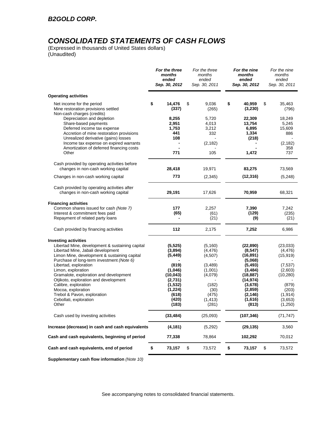# *CONSOLIDATED STATEMENTS OF CASH FLOWS*

(Expressed in thousands of United States dollars) (Unaudited)

|                                                                                                                                                                                                                                           | ended<br>Sep. 30, 2012                                 | months<br>ended<br>Sep. 30, 2011           | months<br>ended<br>Sep. 30, 2012                          | months<br>ended<br>Sep. 30, 2011              |
|-------------------------------------------------------------------------------------------------------------------------------------------------------------------------------------------------------------------------------------------|--------------------------------------------------------|--------------------------------------------|-----------------------------------------------------------|-----------------------------------------------|
| <b>Operating activities</b>                                                                                                                                                                                                               |                                                        |                                            |                                                           |                                               |
| Net income for the period<br>Mine restoration provisions settled<br>Non-cash charges (credits)                                                                                                                                            | \$<br>14,476<br>(337)                                  | \$<br>9,036<br>(265)                       | \$<br>40,959<br>(3,230)                                   | \$<br>35,463<br>(796)                         |
| Depreciation and depletion<br>Share-based payments<br>Deferred income tax expense<br>Accretion of mine restoration provisions<br>Unrealized derivative (gains) losses                                                                     | 8,255<br>2,951<br>1,753<br>441<br>108                  | 5,720<br>4,013<br>3,212<br>332             | 22,309<br>13,754<br>6,895<br>1,334<br>(218)               | 18,249<br>5,245<br>15,609<br>886              |
| Income tax expense on expired warrants<br>Amortization of deferred financing costs<br>Other                                                                                                                                               | 771                                                    | (2, 182)<br>105                            | 1,472                                                     | (2, 182)<br>358<br>737                        |
| Cash provided by operating activities before<br>changes in non-cash working capital                                                                                                                                                       | 28,418                                                 | 19,971                                     | 83,275                                                    | 73,569                                        |
| Changes in non-cash working capital                                                                                                                                                                                                       | 773                                                    | (2,345)                                    | (12, 316)                                                 | (5,248)                                       |
| Cash provided by operating activities after<br>changes in non-cash working capital                                                                                                                                                        | 29,191                                                 | 17,626                                     | 70,959                                                    | 68,321                                        |
| <b>Financing activities</b><br>Common shares issued for cash (Note 7)<br>Interest & commitment fees paid<br>Repayment of related party loans                                                                                              | 177<br>(65)                                            | 2,257<br>(61)<br>(21)                      | 7,390<br>(129)<br>(9)                                     | 7,242<br>(235)<br>(21)                        |
| Cash provided by financing activities                                                                                                                                                                                                     | 112                                                    | 2,175                                      | 7,252                                                     | 6,986                                         |
| <b>Investing activities</b><br>Libertad Mine, development & sustaining capital<br>Libertad Mine, Jabali development<br>Limon Mine, development & sustaining capital<br>Purchase of long-term investment (Note 6)<br>Libertad, exploration | (5, 525)<br>(3,894)<br>(5, 449)<br>(819)               | (5, 160)<br>(4, 476)<br>(4,507)<br>(3,489) | (22, 890)<br>(8, 547)<br>(16, 891)<br>(5,068)<br>(5, 493) | (23,033)<br>(4, 476)<br>(15, 919)<br>(7, 537) |
| Limon, exploration<br>Gramalote, exploration and development<br>Otjikoto, exploration and development<br>Calibre, exploration<br>Mocoa, exploration                                                                                       | (1,046)<br>(10, 043)<br>(2,731)<br>(1, 532)<br>(1,224) | (1,001)<br>(4,079)<br>(182)<br>(30)        | (3, 484)<br>(18, 887)<br>(14, 974)<br>(3,678)<br>(2,859)  | (2,603)<br>(10, 280)<br>(879)<br>(203)        |
| Trebol & Pavon, exploration<br>Cebollati, exploration<br>Other                                                                                                                                                                            | (618)<br>(420)<br>(183)                                | (475)<br>(1, 413)<br>(281)                 | (2, 146)<br>(1,616)<br>(813)                              | (1, 914)<br>(3,653)<br>(1,250)                |
| Cash used by investing activities                                                                                                                                                                                                         | (33, 484)                                              | (25,093)                                   | (107, 346)                                                | (71, 747)                                     |
| Increase (decrease) in cash and cash equivalents                                                                                                                                                                                          | (4, 181)                                               | (5,292)                                    | (29, 135)                                                 | 3,560                                         |
| Cash and cash equivalents, beginning of period                                                                                                                                                                                            | 77,338                                                 | 78,864                                     | 102,292                                                   | 70,012                                        |
| Cash and cash equivalents, end of period                                                                                                                                                                                                  | \$<br>73,157                                           | \$<br>73,572                               | \$<br>73,157                                              | \$<br>73,572                                  |

**Supplementary cash flow information** *(Note 10)*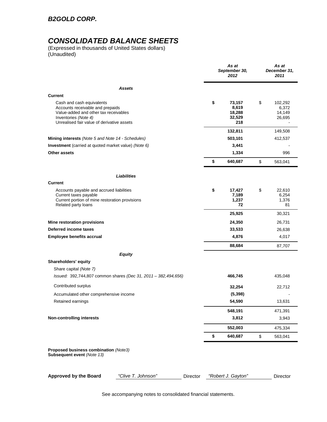# *CONSOLIDATED BALANCE SHEETS*

(Expressed in thousands of United States dollars) (Unaudited)

|                                                                                                                                                                              | As at<br>September 30,<br>2012                   | As at<br>December 31,<br>2011              |
|------------------------------------------------------------------------------------------------------------------------------------------------------------------------------|--------------------------------------------------|--------------------------------------------|
| Assets                                                                                                                                                                       |                                                  |                                            |
| <b>Current</b>                                                                                                                                                               |                                                  |                                            |
| Cash and cash equivalents<br>Accounts receivable and prepaids<br>Value-added and other tax receivables<br>Inventories (Note 4)<br>Unrealised fair value of derivative assets | \$<br>73,157<br>8,619<br>18,288<br>32,529<br>218 | \$<br>102,292<br>6,372<br>14,149<br>26,695 |
|                                                                                                                                                                              | 132,811                                          | 149,508                                    |
| Mining interests (Note 5 and Note 14 - Schedules)                                                                                                                            | 503,101                                          | 412,537                                    |
| <b>Investment</b> (carried at quoted market value) (Note 6)                                                                                                                  | 3,441                                            |                                            |
| Other assets                                                                                                                                                                 | 1,334                                            | 996                                        |
|                                                                                                                                                                              | \$<br>640,687                                    | \$<br>563,041                              |
| Liabilities                                                                                                                                                                  |                                                  |                                            |
| <b>Current</b>                                                                                                                                                               |                                                  |                                            |
| Accounts payable and accrued liabilities<br>Current taxes payable<br>Current portion of mine restoration provisions<br>Related party loans                                   | \$<br>17,427<br>7,189<br>1,237<br>72             | \$<br>22,610<br>6,254<br>1,376<br>81       |
|                                                                                                                                                                              | 25,925                                           | 30,321                                     |
| Mine restoration provisions                                                                                                                                                  | 24,350                                           | 26,731                                     |
| Deferred income taxes                                                                                                                                                        | 33,533                                           | 26,638                                     |
| <b>Employee benefits accrual</b>                                                                                                                                             | 4,876                                            | 4,017                                      |
|                                                                                                                                                                              | 88,684                                           | 87,707                                     |
| <b>Equity</b>                                                                                                                                                                |                                                  |                                            |
| Shareholders' equity                                                                                                                                                         |                                                  |                                            |
| Share capital (Note 7)<br>Issued: 392,744,807 common shares (Dec 31, 2011 - 382,494,656)                                                                                     | 466,745                                          | 435,048                                    |
| Contributed surplus                                                                                                                                                          | 32,254                                           | 22,712                                     |
| Accumulated other comprehensive income                                                                                                                                       | (5, 398)                                         |                                            |
| Retained earnings                                                                                                                                                            | 54,590                                           | 13,631                                     |
|                                                                                                                                                                              | 548,191                                          | 471,391                                    |
| <b>Non-controlling interests</b>                                                                                                                                             | 3,812                                            | 3,943                                      |
|                                                                                                                                                                              | 552,003                                          | 475,334                                    |
|                                                                                                                                                                              | \$<br>640,687                                    | \$<br>563,041                              |
| Proposed business combination (Note3)<br>Subsequent event (Note 13)                                                                                                          |                                                  |                                            |
| <b>Approved by the Board</b><br>"Clive T. Johnson"<br>Director                                                                                                               | "Robert J. Gayton"                               | Director                                   |

See accompanying notes to consolidated financial statements.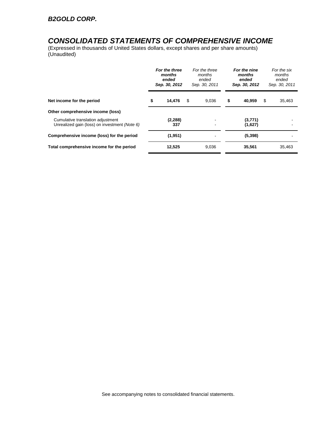# *CONSOLIDATED STATEMENTS OF COMPREHENSIVE INCOME*

(Expressed in thousands of United States dollars, except shares and per share amounts) (Unaudited)

|                                                                                    | For the three<br>months<br>ended<br>Sep. 30, 2012 | For the three<br>months<br>ended<br>Sep. 30, 2011 | For the nine<br>months<br>ended<br>Sep. 30, 2012 |   | For the six<br>months<br>ended<br>Sep. 30, 2011 |
|------------------------------------------------------------------------------------|---------------------------------------------------|---------------------------------------------------|--------------------------------------------------|---|-------------------------------------------------|
| Net income for the period                                                          | \$<br>14,476                                      | \$<br>9.036                                       | \$<br>40.959                                     | S | 35,463                                          |
| Other comprehensive income (loss)                                                  |                                                   |                                                   |                                                  |   |                                                 |
| Cumulative translation adjustment<br>Unrealized gain (loss) on investment (Note 6) | (2, 288)<br>337                                   |                                                   | (3,771)<br>(1,627)                               |   |                                                 |
| Comprehensive income (loss) for the period                                         | (1,951)                                           |                                                   | (5,398)                                          |   |                                                 |
| Total comprehensive income for the period                                          | 12,525                                            | 9,036                                             | 35,561                                           |   | 35,463                                          |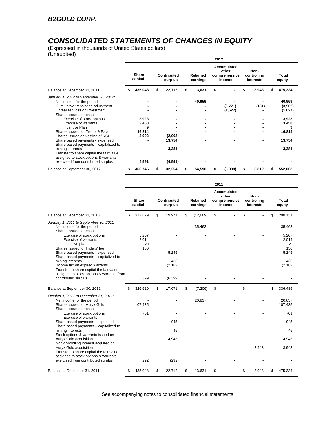# *CONSOLIDATED STATEMENTS OF CHANGES IN EQUITY*

(Expressed in thousands of United States dollars) (Unaudited)

|                                                                                                                                                                                                                                                                                                                                                                                                                                                                                                                                                     |   |                                                 |   |                                       |    |                             | 2012 |                                                 |    |                                  |  |                                                                             |
|-----------------------------------------------------------------------------------------------------------------------------------------------------------------------------------------------------------------------------------------------------------------------------------------------------------------------------------------------------------------------------------------------------------------------------------------------------------------------------------------------------------------------------------------------------|---|-------------------------------------------------|---|---------------------------------------|----|-----------------------------|------|-------------------------------------------------|----|----------------------------------|--|-----------------------------------------------------------------------------|
|                                                                                                                                                                                                                                                                                                                                                                                                                                                                                                                                                     |   | <b>Share</b><br>capital                         |   | Contributed<br>surplus                |    | <b>Retained</b><br>earnings |      | Accumulated<br>other<br>comprehensive<br>income |    | Non-<br>controlling<br>interests |  | <b>Total</b><br>equity                                                      |
| Balance at December 31, 2011                                                                                                                                                                                                                                                                                                                                                                                                                                                                                                                        |   | 435,048                                         | S | 22,712                                | \$ | 13,631                      | \$   |                                                 | \$ | 3,943                            |  | 475,334                                                                     |
| January 1, 2012 to September 30, 2012:<br>Net income for the period<br>Cumulative translation adjustment<br>Unrealized loss on investment<br>Shares issued for cash:<br>Exercise of stock options<br><b>Exercise of warrants</b><br>Incentive Plan<br>Shares issued for Trebol & Pavon<br>Shares issued on vesting of RSU<br>Share based payments - expensed<br>Share based payments - capitalized to<br>mining interests<br>Transfer to share capital the fair value<br>assigned to stock options & warrants<br>exercised from contributed surplus |   | 3,923<br>3,458<br>9<br>16,814<br>2,902<br>4,591 |   | (2,902)<br>13,754<br>3,281<br>(4,591) |    | 40,959                      |      | (3,771)<br>(1,627)                              |    | (131)                            |  | 40,959<br>(3,902)<br>(1,627)<br>3,923<br>3,458<br>16,814<br>13,754<br>3,281 |
| Balance at September 30, 2012                                                                                                                                                                                                                                                                                                                                                                                                                                                                                                                       | S | 466,745                                         |   | 32,254                                | s  | 54,590                      | \$   | (5, 398)                                        | S  | 3,812                            |  | 552,003                                                                     |

|                                                                                                                                             |    |                      |                        |                      | 2011 |                                                 |                                  |       |                      |
|---------------------------------------------------------------------------------------------------------------------------------------------|----|----------------------|------------------------|----------------------|------|-------------------------------------------------|----------------------------------|-------|----------------------|
|                                                                                                                                             |    | Share<br>capital     | Contributed<br>surplus | Retained<br>earnings |      | Accumulated<br>other<br>comprehensive<br>income | Non-<br>controlling<br>interests |       | Total<br>equity      |
| Balance at December 31, 2010                                                                                                                | S  | 312,829              | \$<br>19,971           | \$<br>(42, 669)      | \$   |                                                 | \$                               |       | \$<br>290,131        |
| January 1, 2011 to September 30, 2011:<br>Net income for the period<br>Shares issued for cash:                                              |    |                      |                        | 35,463               |      |                                                 |                                  |       | 35,463               |
| Exercise of stock options<br><b>Exercise of warrants</b><br>Incentive plan                                                                  |    | 5,207<br>2,014<br>21 |                        |                      |      |                                                 |                                  |       | 5,207<br>2.014<br>21 |
| Shares issued for finders' fee<br>Share based payments - expensed<br>Share based payments - capitalized to                                  |    | 150                  | 5,245                  |                      |      |                                                 |                                  |       | 150<br>5,245         |
| mining interests<br>Income tax on expired warrants<br>Transfer to share capital the fair value<br>assigned to stock options & warrants from |    |                      | 436<br>(2, 182)        |                      |      |                                                 |                                  |       | 436<br>(2, 182)      |
| contributed surplus                                                                                                                         |    | 6,399                | (6, 399)               |                      |      |                                                 |                                  |       |                      |
| Balance at September 30, 2011                                                                                                               | \$ | 326,620              | \$<br>17,071           | \$<br>(7,206)        | \$   |                                                 | \$                               |       | \$<br>336,485        |
| October 1, 2011 to December 31, 2011:<br>Net income for the period                                                                          |    |                      |                        | 20,837               |      |                                                 |                                  |       | 20.837               |
| Shares issued for Auryx Gold<br>Shares issued for cash:                                                                                     |    | 107,435              |                        |                      |      |                                                 |                                  |       | 107,435              |
| Exercise of stock options<br><b>Exercise of warrants</b>                                                                                    |    | 701                  |                        |                      |      |                                                 |                                  |       | 701                  |
| Share based payments - expensed<br>Share based payments - capitalized to                                                                    |    |                      | 945                    |                      |      |                                                 |                                  |       | 945                  |
| mining interests<br>Stock options & warrants issued on                                                                                      |    |                      | 45                     |                      |      |                                                 |                                  |       | 45                   |
| Auryx Gold acquisition<br>Non-controlling interest acquired on                                                                              |    |                      | 4,943                  |                      |      |                                                 |                                  |       | 4,943                |
| Auryx Gold acquisition<br>Transfer to share capital the fair value<br>assigned to stock options & warrants                                  |    |                      |                        |                      |      |                                                 |                                  | 3,943 | 3,943                |
| exercised from contributed surplus                                                                                                          |    | 292                  | (292)                  |                      |      |                                                 |                                  |       |                      |
| Balance at December 31, 2011                                                                                                                | \$ | 435,048              | \$<br>22,712           | \$<br>13,631         | \$   |                                                 | \$                               | 3,943 | \$<br>475,334        |

See accompanying notes to consolidated financial statements.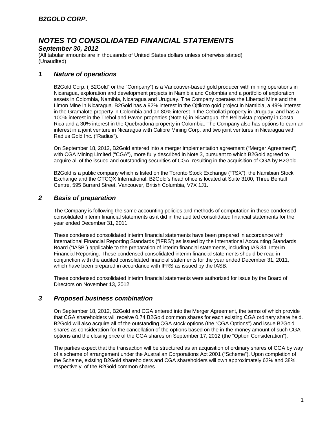## *September 30, 2012*

(All tabular amounts are in thousands of United States dollars unless otherwise stated) (Unaudited)

## *1 Nature of operations*

B2Gold Corp. ("B2Gold" or the "Company") is a Vancouver-based gold producer with mining operations in Nicaragua, exploration and development projects in Namibia and Colombia and a portfolio of exploration assets in Colombia, Namibia, Nicaragua and Uruguay. The Company operates the Libertad Mine and the Limon Mine in Nicaragua. B2Gold has a 92% interest in the Ojtikoto gold project in Namibia, a 49% interest in the Gramalote property in Colombia and an 80% interest in the Cebollati property in Uruguay, and has a 100% interest in the Trebol and Pavon properties (Note 5) in Nicaragua, the Bellavista property in Costa Rica and a 30% interest in the Quebradona property in Colombia. The Company also has options to earn an interest in a joint venture in Nicaragua with Calibre Mining Corp. and two joint ventures in Nicaragua with Radius Gold Inc. ("Radius").

On September 18, 2012, B2Gold entered into a merger implementation agreement ("Merger Agreement") with CGA Mining Limited ("CGA"), more fully described in Note 3, pursuant to which B2Gold agreed to acquire all of the issued and outstanding securities of CGA, resulting in the acquisition of CGA by B2Gold.

B2Gold is a public company which is listed on the Toronto Stock Exchange ("TSX"), the Namibian Stock Exchange and the OTCQX International. B2Gold's head office is located at Suite 3100, Three Bentall Centre, 595 Burrard Street, Vancouver, British Columbia, V7X 1J1.

# *2 Basis of preparation*

The Company is following the same accounting policies and methods of computation in these condensed consolidated interim financial statements as it did in the audited consolidated financial statements for the year ended December 31, 2011.

These condensed consolidated interim financial statements have been prepared in accordance with International Financial Reporting Standards ("IFRS") as issued by the International Accounting Standards Board ("IASB") applicable to the preparation of interim financial statements, including IAS 34, Interim Financial Reporting. These condensed consolidated interim financial statements should be read in conjunction with the audited consolidated financial statements for the year ended December 31, 2011, which have been prepared in accordance with IFRS as issued by the IASB.

These condensed consolidated interim financial statements were authorized for issue by the Board of Directors on November 13, 2012.

## *3 Proposed business combination*

On September 18, 2012, B2Gold and CGA entered into the Merger Agreement, the terms of which provide that CGA shareholders will receive 0.74 B2Gold common shares for each existing CGA ordinary share held. B2Gold will also acquire all of the outstanding CGA stock options (the "CGA Options") and issue B2Gold shares as consideration for the cancellation of the options based on the in-the-money amount of such CGA options and the closing price of the CGA shares on September 17, 2012 (the "Option Consideration").

The parties expect that the transaction will be structured as an acquisition of ordinary shares of CGA by way of a scheme of arrangement under the Australian Corporations Act 2001 ("Scheme"). Upon completion of the Scheme, existing B2Gold shareholders and CGA shareholders will own approximately 62% and 38%, respectively, of the B2Gold common shares.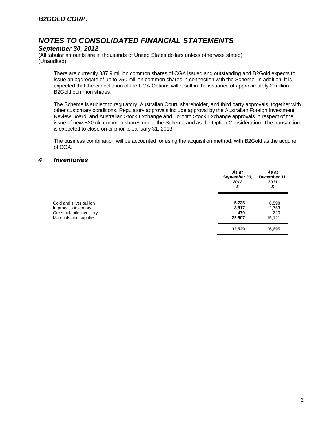### *September 30, 2012*

(All tabular amounts are in thousands of United States dollars unless otherwise stated) (Unaudited)

There are currently 337.9 million common shares of CGA issued and outstanding and B2Gold expects to issue an aggregate of up to 250 million common shares in connection with the Scheme. In addition, it is expected that the cancellation of the CGA Options will result in the issuance of approximately 2 million B2Gold common shares.

The Scheme is subject to regulatory, Australian Court, shareholder, and third party approvals, together with other customary conditions. Regulatory approvals include approval by the Australian Foreign Investment Review Board, and Australian Stock Exchange and Toronto Stock Exchange approvals in respect of the issue of new B2Gold common shares under the Scheme and as the Option Consideration. The transaction is expected to close on or prior to January 31, 2013.

The business combination will be accounted for using the acquisition method, with B2Gold as the acquirer of CGA.

### *4 Inventories*

|                                                                                                       | As at<br>September 30,<br>2012<br>\$ | As at<br>December 31,<br>2011<br>\$ |
|-------------------------------------------------------------------------------------------------------|--------------------------------------|-------------------------------------|
| Gold and silver bullion<br>In-process inventory<br>Ore stock-pile inventory<br>Materials and supplies | 5,735<br>3,817<br>470<br>22,507      | 8,598<br>2,753<br>223<br>15,121     |
|                                                                                                       | 32,529                               | 26,695                              |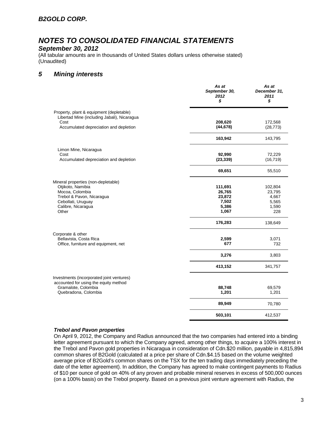# *NOTES TO CONSOLIDATED FINANCIAL STATEMENTS*

### *September 30, 2012*

(All tabular amounts are in thousands of United States dollars unless otherwise stated) (Unaudited)

## *5 Mining interests*

|                                                                                         | As at<br>September 30,<br>2012<br>\$ | As at<br>December 31.<br>2011<br>\$ |
|-----------------------------------------------------------------------------------------|--------------------------------------|-------------------------------------|
| Property, plant & equipment (depletable)<br>Libertad Mine (including Jabali), Nicaragua |                                      |                                     |
| Cost                                                                                    | 208,620                              | 172,568                             |
| Accumulated depreciation and depletion                                                  | (44, 678)                            | (28, 773)                           |
|                                                                                         | 163,942                              | 143,795                             |
| Limon Mine, Nicaragua                                                                   |                                      |                                     |
| Cost                                                                                    | 92,990                               | 72,229                              |
| Accumulated depreciation and depletion                                                  | (23, 339)                            | (16, 719)                           |
|                                                                                         | 69,651                               | 55,510                              |
| Mineral properties (non-depletable)                                                     |                                      |                                     |
| Otjikoto, Namibia                                                                       | 111,691                              | 102,804                             |
| Mocoa, Colombia                                                                         | 26,765                               | 23,795                              |
| Trebol & Pavon, Nicaragua                                                               | 23,872                               | 4,667                               |
| Cebollati, Uruguay                                                                      | 7,502                                | 5,565                               |
| Calibre, Nicaragua<br>Other                                                             | 5,386<br>1,067                       | 1,590<br>228                        |
|                                                                                         | 176,283                              | 138,649                             |
| Corporate & other                                                                       |                                      |                                     |
| Bellavista, Costa Rica                                                                  | 2,599                                | 3,071                               |
| Office, furniture and equipment, net                                                    | 677                                  | 732                                 |
|                                                                                         | 3,276                                | 3,803                               |
|                                                                                         | 413,152                              | 341,757                             |
| Investments (incorporated joint ventures)                                               |                                      |                                     |
| accounted for using the equity method                                                   |                                      |                                     |
| Gramalote, Colombia                                                                     | 88,748                               | 69,579                              |
| Quebradona, Colombia                                                                    | 1,201                                | 1,201                               |
|                                                                                         | 89,949                               | 70,780                              |
|                                                                                         | 503,101                              | 412,537                             |

#### *Trebol and Pavon properties*

On April 9, 2012, the Company and Radius announced that the two companies had entered into a binding letter agreement pursuant to which the Company agreed, among other things, to acquire a 100% interest in the Trebol and Pavon gold properties in Nicaragua in consideration of Cdn.\$20 million, payable in 4,815,894 common shares of B2Gold (calculated at a price per share of Cdn.\$4.15 based on the volume weighted average price of B2Gold's common shares on the TSX for the ten trading days immediately preceding the date of the letter agreement). In addition, the Company has agreed to make contingent payments to Radius of \$10 per ounce of gold on 40% of any proven and probable mineral reserves in excess of 500,000 ounces (on a 100% basis) on the Trebol property. Based on a previous joint venture agreement with Radius, the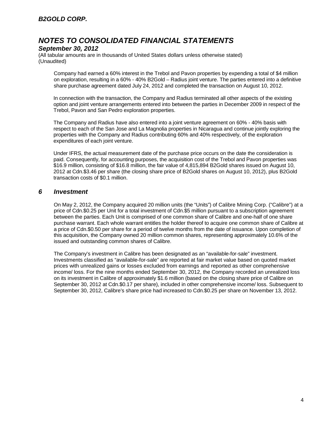### *September 30, 2012*

(All tabular amounts are in thousands of United States dollars unless otherwise stated) (Unaudited)

Company had earned a 60% interest in the Trebol and Pavon properties by expending a total of \$4 million on exploration, resulting in a 60% - 40% B2Gold – Radius joint venture. The parties entered into a definitive share purchase agreement dated July 24, 2012 and completed the transaction on August 10, 2012.

In connection with the transaction, the Company and Radius terminated all other aspects of the existing option and joint venture arrangements entered into between the parties in December 2009 in respect of the Trebol, Pavon and San Pedro exploration properties.

The Company and Radius have also entered into a joint venture agreement on 60% - 40% basis with respect to each of the San Jose and La Magnolia properties in Nicaragua and continue jointly exploring the properties with the Company and Radius contributing 60% and 40% respectively, of the exploration expenditures of each joint venture.

Under IFRS, the actual measurement date of the purchase price occurs on the date the consideration is paid. Consequently, for accounting purposes, the acquisition cost of the Trebol and Pavon properties was \$16.9 million, consisting of \$16.8 million, the fair value of 4,815,894 B2Gold shares issued on August 10, 2012 at Cdn.\$3.46 per share (the closing share price of B2Gold shares on August 10, 2012), plus B2Gold transaction costs of \$0.1 million.

## *6 Investment*

On May 2, 2012, the Company acquired 20 million units (the "Units") of Calibre Mining Corp. ("Calibre") at a price of Cdn.\$0.25 per Unit for a total investment of Cdn.\$5 million pursuant to a subscription agreement between the parties. Each Unit is comprised of one common share of Calibre and one-half of one share purchase warrant. Each whole warrant entitles the holder thereof to acquire one common share of Calibre at a price of Cdn.\$0.50 per share for a period of twelve months from the date of issuance. Upon completion of this acquisition, the Company owned 20 million common shares, representing approximately 10.6% of the issued and outstanding common shares of Calibre.

The Company's investment in Calibre has been designated as an "available-for-sale" investment. Investments classified as "available-for-sale" are reported at fair market value based on quoted market prices with unrealized gains or losses excluded from earnings and reported as other comprehensive income/ loss. For the nine months ended September 30, 2012, the Company recorded an unrealized loss on its investment in Calibre of approximately \$1.6 million (based on the closing share price of Calibre on September 30, 2012 at Cdn.\$0.17 per share), included in other comprehensive income/ loss. Subsequent to September 30, 2012, Calibre's share price had increased to Cdn.\$0.25 per share on November 13, 2012.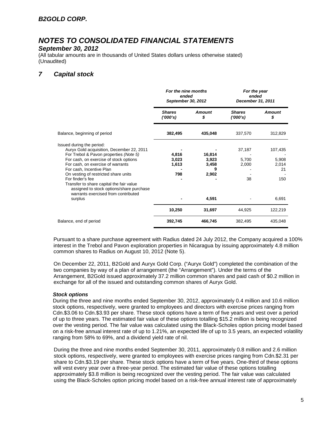# *NOTES TO CONSOLIDATED FINANCIAL STATEMENTS*

### *September 30, 2012*

(All tabular amounts are in thousands of United States dollars unless otherwise stated) (Unaudited)

# *7 Capital stock*

|                                                                                                                             | For the nine months<br>ended<br>September 30, 2012 |                     | For the year<br>ended<br>December 31, 2011 |                     |  |
|-----------------------------------------------------------------------------------------------------------------------------|----------------------------------------------------|---------------------|--------------------------------------------|---------------------|--|
|                                                                                                                             | <b>Shares</b><br>(1000's)                          | <b>Amount</b><br>\$ | <b>Shares</b><br>(1000's)                  | <b>Amount</b><br>\$ |  |
| Balance, beginning of period                                                                                                | 382,495                                            | 435,048             | 337,570                                    | 312,829             |  |
| Issued during the period:<br>Auryx Gold acquisition, December 22, 2011<br>For Trebol & Pavon properties (Note 5)            | 4,816                                              | 16,814              | 37,187                                     | 107,435             |  |
| For cash, on exercise of stock options<br>For cash, on exercise of warrants                                                 | 3,023<br>1,613                                     | 3,923<br>3,458      | 5,700<br>2,000                             | 5,908<br>2,014      |  |
| For cash, Incentive Plan                                                                                                    |                                                    | 9                   |                                            | 21                  |  |
| On vesting of restricted share units<br>For finder's fee                                                                    | 798                                                | 2,902               | 38                                         | 150                 |  |
| Transfer to share capital the fair value<br>assigned to stock options/share purchase<br>warrants exercised from contributed |                                                    |                     |                                            |                     |  |
| surplus                                                                                                                     |                                                    | 4,591               |                                            | 6,691               |  |
|                                                                                                                             | 10,250                                             | 31,697              | 44,925                                     | 122,219             |  |
| Balance, end of period                                                                                                      | 392,745                                            | 466,745             | 382,495                                    | 435,048             |  |

Pursuant to a share purchase agreement with Radius dated 24 July 2012, the Company acquired a 100% interest in the Trebol and Pavon exploration properties in Nicaragua by issuing approximately 4.8 million common shares to Radius on August 10, 2012 (Note 5).

On December 22, 2011, B2Gold and Auryx Gold Corp. ("Auryx Gold") completed the combination of the two companies by way of a plan of arrangement (the "Arrangement"). Under the terms of the Arrangement, B2Gold issued approximately 37.2 million common shares and paid cash of \$0.2 million in exchange for all of the issued and outstanding common shares of Auryx Gold.

### *Stock options*

During the three and nine months ended September 30, 2012, approximately 0.4 million and 10.6 million stock options, respectively, were granted to employees and directors with exercise prices ranging from Cdn.\$3.06 to Cdn.\$3.93 per share. These stock options have a term of five years and vest over a period of up to three years. The estimated fair value of these options totalling \$15.2 million is being recognized over the vesting period. The fair value was calculated using the Black-Scholes option pricing model based on a risk-free annual interest rate of up to 1.21%, an expected life of up to 3.5 years, an expected volatility ranging from 58% to 69%, and a dividend yield rate of nil.

During the three and nine months ended September 30, 2011, approximately 0.8 million and 2.6 million stock options, respectively, were granted to employees with exercise prices ranging from Cdn.\$2.31 per share to Cdn.\$3.19 per share. These stock options have a term of five years. One-third of these options will vest every year over a three-year period. The estimated fair value of these options totalling approximately \$3.8 million is being recognized over the vesting period. The fair value was calculated using the Black-Scholes option pricing model based on a risk-free annual interest rate of approximately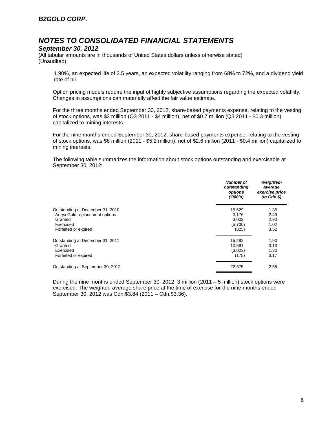### *September 30, 2012*

(All tabular amounts are in thousands of United States dollars unless otherwise stated) (Unaudited)

1.90%, an expected life of 3.5 years, an expected volatility ranging from 68% to 72%, and a dividend yield rate of nil.

Option pricing models require the input of highly subjective assumptions regarding the expected volatility. Changes in assumptions can materially affect the fair value estimate.

For the three months ended September 30, 2012, share-based payments expense, relating to the vesting of stock options, was \$2 million (Q3 2011 - \$4 million), net of \$0.7 million (Q3 2011 - \$0.3 million) capitalized to mining interests.

For the nine months ended September 30, 2012, share-based payments expense, relating to the vesting of stock options, was \$8 million (2011 - \$5.2 million), net of \$2.6 million (2011 - \$0.4 million) capitalized to mining interests.

The following table summarizes the information about stock options outstanding and exercisable at September 30, 2012:

|                                   | Number of<br>outstanding<br>options<br>('000's) | <b>Weighted-</b><br>average<br>exercise price<br>$(in$ $Cdn.S)$ |
|-----------------------------------|-------------------------------------------------|-----------------------------------------------------------------|
| Outstanding at December 31, 2010  | 15,629                                          | 1.35                                                            |
| Auryx Gold replacement options    | 3,176                                           | 2.49                                                            |
| Granted                           | 3,002                                           | 2.90                                                            |
| Exercised                         | (5,700)                                         | 1.02                                                            |
| Forfeited or expired              | (825)                                           | 3.52                                                            |
| Outstanding at December 31, 2011  | 15,282                                          | 1.90                                                            |
| Granted                           | 10.591                                          | 3.13                                                            |
| Exercised                         | (3,023)                                         | 1.30                                                            |
| Forfeited or expired              | (175)                                           | 3.17                                                            |
| Outstanding at September 30, 2012 | 22,675                                          | 2.55                                                            |

During the nine months ended September 30, 2012, 3 million (2011 – 5 million) stock options were exercised. The weighted average share price at the time of exercise for the nine months ended September 30, 2012 was Cdn.\$3.84 (2011 – Cdn.\$3.36).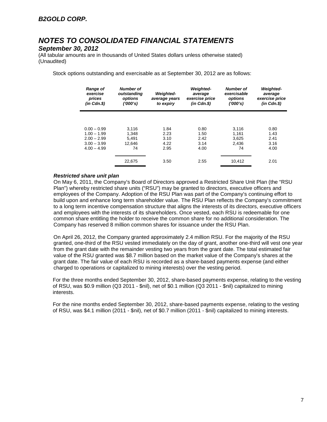### *September 30, 2012*

(All tabular amounts are in thousands of United States dollars unless otherwise stated) (Unaudited)

Stock options outstanding and exercisable as at September 30, 2012 are as follows:

| <b>Range of</b><br>exercise<br>prices<br>$(in$ $Cdn.S)$ | <b>Number of</b><br>outstanding<br>options<br>(1000's) | <b>Weighted-</b><br>average years<br>to expiry | <b>Weighted-</b><br>average<br>exercise price<br>$(in$ $Cdn.S)$ | <b>Number of</b><br>exercisable<br>options<br>('000's) | <b>Weighted-</b><br>average<br>exercise price<br>$(in$ $Cdn.S)$ |
|---------------------------------------------------------|--------------------------------------------------------|------------------------------------------------|-----------------------------------------------------------------|--------------------------------------------------------|-----------------------------------------------------------------|
|                                                         |                                                        |                                                |                                                                 |                                                        |                                                                 |
| $0.00 - 0.99$                                           | 3.116                                                  | 1.84                                           | 0.80                                                            | 3.116                                                  | 0.80<br>1.43                                                    |
| $1.00 - 1.99$<br>$2.00 - 2.99$                          | 1.348<br>5.491                                         | 2.23<br>3.10                                   | 1.50<br>2.42                                                    | 1.161<br>3.625                                         | 2.41                                                            |
| $3.00 - 3.99$<br>$4.00 - 4.99$                          | 12.646<br>74                                           | 4.22<br>2.95                                   | 3.14<br>4.00                                                    | 2.436<br>74                                            | 3.16<br>4.00                                                    |
|                                                         | 22,675                                                 | 3.50                                           | 2.55                                                            | 10,412                                                 | 2.01                                                            |

#### *Restricted share unit plan*

On May 6, 2011, the Company's Board of Directors approved a Restricted Share Unit Plan (the "RSU Plan") whereby restricted share units ("RSU") may be granted to directors, executive officers and employees of the Company. Adoption of the RSU Plan was part of the Company's continuing effort to build upon and enhance long term shareholder value. The RSU Plan reflects the Company's commitment to a long term incentive compensation structure that aligns the interests of its directors, executive officers and employees with the interests of its shareholders. Once vested, each RSU is redeemable for one common share entitling the holder to receive the common share for no additional consideration. The Company has reserved 8 million common shares for issuance under the RSU Plan.

On April 26, 2012, the Company granted approximately 2.4 million RSU. For the majority of the RSU granted, one-third of the RSU vested immediately on the day of grant, another one-third will vest one year from the grant date with the remainder vesting two years from the grant date. The total estimated fair value of the RSU granted was \$8.7 million based on the market value of the Company's shares at the grant date. The fair value of each RSU is recorded as a share-based payments expense (and either charged to operations or capitalized to mining interests) over the vesting period.

For the three months ended September 30, 2012, share-based payments expense, relating to the vesting of RSU, was \$0.9 million (Q3 2011 - \$nil), net of \$0.1 million (Q3 2011 - \$nil) capitalized to mining interests.

For the nine months ended September 30, 2012, share-based payments expense, relating to the vesting of RSU, was \$4.1 million (2011 - \$nil), net of \$0.7 million (2011 - \$nil) capitalized to mining interests.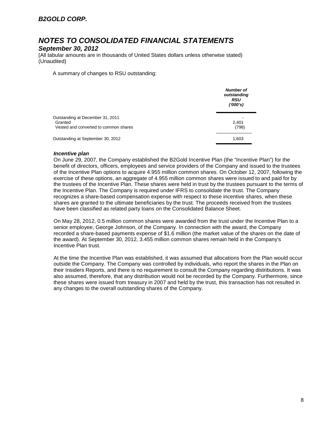# *NOTES TO CONSOLIDATED FINANCIAL STATEMENTS*

### *September 30, 2012*

(All tabular amounts are in thousands of United States dollars unless otherwise stated) (Unaudited)

A summary of changes to RSU outstanding:

|                                                                                      | <b>Number of</b><br>outstanding<br><b>RSU</b><br>(1000's) |
|--------------------------------------------------------------------------------------|-----------------------------------------------------------|
| Outstanding at December 31, 2011<br>Granted<br>Vested and converted to common shares | 2,401<br>(798)                                            |
| Outstanding at September 30, 2012                                                    | 1,603                                                     |

#### *Incentive plan*

On June 29, 2007, the Company established the B2Gold Incentive Plan (the "Incentive Plan") for the benefit of directors, officers, employees and service providers of the Company and issued to the trustees of the Incentive Plan options to acquire 4.955 million common shares. On October 12, 2007, following the exercise of these options, an aggregate of 4.955 million common shares were issued to and paid for by the trustees of the Incentive Plan. These shares were held in trust by the trustees pursuant to the terms of the Incentive Plan. The Company is required under IFRS to consolidate the trust. The Company recognizes a share-based compensation expense with respect to these incentive shares, when these shares are granted to the ultimate beneficiaries by the trust. The proceeds received from the trustees have been classified as related party loans on the Consolidated Balance Sheet.

On May 28, 2012, 0.5 million common shares were awarded from the trust under the Incentive Plan to a senior employee, George Johnson, of the Company. In connection with the award, the Company recorded a share-based payments expense of \$1.6 million (the market value of the shares on the date of the award). At September 30, 2012, 3.455 million common shares remain held in the Company's Incentive Plan trust.

At the time the Incentive Plan was established, it was assumed that allocations from the Plan would occur outside the Company. The Company was controlled by individuals, who report the shares in the Plan on their Insiders Reports, and there is no requirement to consult the Company regarding distributions. It was also assumed, therefore, that any distribution would not be recorded by the Company. Furthermore, since these shares were issued from treasury in 2007 and held by the trust, this transaction has not resulted in any changes to the overall outstanding shares of the Company.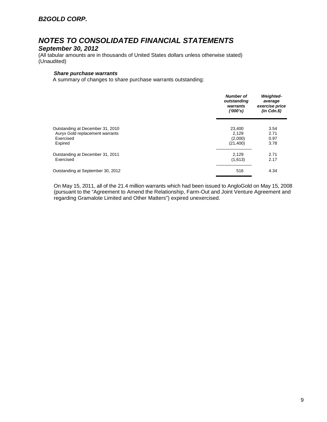# *NOTES TO CONSOLIDATED FINANCIAL STATEMENTS*

### *September 30, 2012*

(All tabular amounts are in thousands of United States dollars unless otherwise stated) (Unaudited)

#### *Share purchase warrants*

A summary of changes to share purchase warrants outstanding:

|                                   | <b>Number of</b><br>outstanding<br>warrants<br>(1000's) | <b>Weighted-</b><br>average<br>exercise price<br>$(in$ $Cdn.S)$ |
|-----------------------------------|---------------------------------------------------------|-----------------------------------------------------------------|
| Outstanding at December 31, 2010  | 23,400                                                  | 3.54                                                            |
| Auryx Gold replacement warrants   | 2.129                                                   | 2.71                                                            |
| Exercised                         | (2,000)                                                 | 0.97                                                            |
| Expired                           | (21, 400)                                               | 3.78                                                            |
| Outstanding at December 31, 2011  | 2,129                                                   | 2.71                                                            |
| Exercised                         | (1,613)                                                 | 2.17                                                            |
| Outstanding at September 30, 2012 | 516                                                     | 4.34                                                            |

On May 15, 2011, all of the 21.4 million warrants which had been issued to AngloGold on May 15, 2008 (pursuant to the "Agreement to Amend the Relationship, Farm-Out and Joint Venture Agreement and regarding Gramalote Limited and Other Matters") expired unexercised.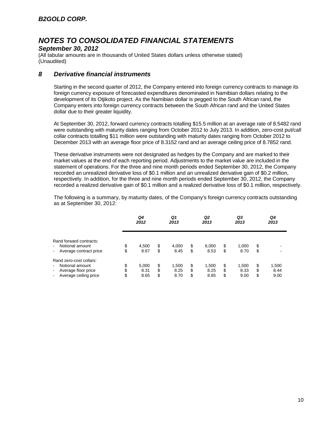## *September 30, 2012*

(All tabular amounts are in thousands of United States dollars unless otherwise stated) (Unaudited)

## *8 Derivative financial instruments*

Starting in the second quarter of 2012, the Company entered into foreign currency contracts to manage its foreign currency exposure of forecasted expenditures denominated in Namibian dollars relating to the development of its Otjikoto project. As the Namibian dollar is pegged to the South African rand, the Company enters into foreign currency contracts between the South African rand and the United States dollar due to their greater liquidity.

At September 30, 2012, forward currency contracts totalling \$15.5 million at an average rate of 8.5482 rand were outstanding with maturity dates ranging from October 2012 to July 2013. In addition, zero-cost put/call collar contracts totalling \$11 million were outstanding with maturity dates ranging from October 2012 to December 2013 with an average floor price of 8.3152 rand and an average ceiling price of 8.7852 rand.

These derivative instruments were not designated as hedges by the Company and are marked to their market values at the end of each reporting period. Adjustments to the market value are included in the statement of operations. For the three and nine month periods ended September 30, 2012, the Company recorded an unrealized derivative loss of \$0.1 million and an unrealized derivative gain of \$0.2 million, respectively. In addition, for the three and nine month periods ended September 30, 2012, the Company recorded a realized derivative gain of \$0.1 million and a realized derivative loss of \$0.1 million, respectively.

The following is a summary, by maturity dates, of the Company's foreign currency contracts outstanding as at September 30, 2012:

|                                                                                                                                                  |                | Q4<br>2012            |                | Q1<br>2013            |                | Q <sub>2</sub><br>2013 |               | Q3<br>2013            |                | Q4<br>2013            |
|--------------------------------------------------------------------------------------------------------------------------------------------------|----------------|-----------------------|----------------|-----------------------|----------------|------------------------|---------------|-----------------------|----------------|-----------------------|
| Rand forward contracts:<br>Notional amount<br>$\blacksquare$<br>Average contract price<br>$\blacksquare$                                         | \$<br>\$       | 4,500<br>8.67         | \$<br>\$       | 4,000<br>8.45         | \$<br>\$       | 6,000<br>8.53          | \$<br>\$      | 1,000<br>8.70         | \$<br>\$       | -                     |
| Rand zero-cost collars:<br>Notional amount<br>$\blacksquare$<br>Average floor price<br>$\blacksquare$<br>Average ceiling price<br>$\blacksquare$ | \$<br>\$<br>\$ | 5.000<br>8.31<br>8.65 | \$<br>\$<br>\$ | 1,500<br>8.25<br>8.70 | \$<br>\$<br>\$ | 1,500<br>8.25<br>8.85  | \$<br>\$<br>S | 1,500<br>8.33<br>9.00 | \$<br>\$<br>\$ | 1,500<br>8.44<br>9.00 |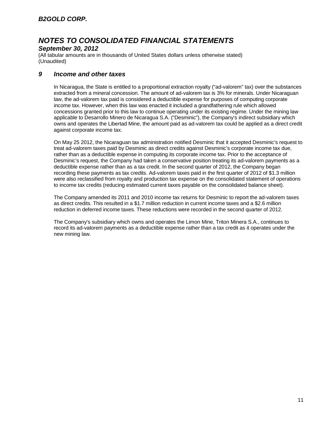## *September 30, 2012*

(All tabular amounts are in thousands of United States dollars unless otherwise stated) (Unaudited)

## *9 Income and other taxes*

In Nicaragua, the State is entitled to a proportional extraction royalty ("ad-valorem" tax) over the substances extracted from a mineral concession. The amount of ad-valorem tax is 3% for minerals. Under Nicaraguan law, the ad-valorem tax paid is considered a deductible expense for purposes of computing corporate income tax. However, when this law was enacted it included a grandfathering rule which allowed concessions granted prior to this law to continue operating under its existing regime. Under the mining law applicable to Desarrollo Minero de Nicaragua S.A. ("Desminic"), the Company's indirect subsidiary which owns and operates the Libertad Mine, the amount paid as ad-valorem tax could be applied as a direct credit against corporate income tax.

On May 25 2012, the Nicaraguan tax administration notified Desminic that it accepted Desminic's request to treat ad-valorem taxes paid by Desminic as direct credits against Desminic's corporate income tax due, rather than as a deductible expense in computing its corporate income tax. Prior to the acceptance of Desminic's request, the Company had taken a conservative position treating its ad-valorem payments as a deductible expense rather than as a tax credit. In the second quarter of 2012, the Company began recording these payments as tax credits. Ad-valorem taxes paid in the first quarter of 2012 of \$1.3 million were also reclassified from royalty and production tax expense on the consolidated statement of operations to income tax credits (reducing estimated current taxes payable on the consolidated balance sheet).

The Company amended its 2011 and 2010 income tax returns for Desminic to report the ad-valorem taxes as direct credits. This resulted in a \$1.7 million reduction in current income taxes and a \$2.6 million reduction in deferred income taxes. These reductions were recorded in the second quarter of 2012.

The Company's subsidiary which owns and operates the Limon Mine, Triton Minera S.A., continues to record its ad-valorem payments as a deductible expense rather than a tax credit as it operates under the new mining law.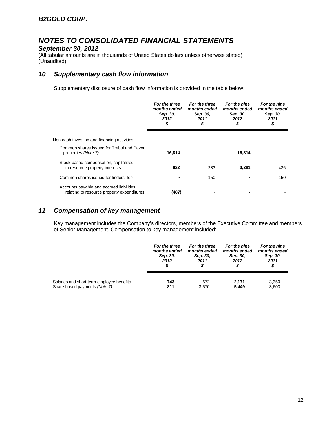## *September 30, 2012*

(All tabular amounts are in thousands of United States dollars unless otherwise stated) (Unaudited)

# *10 Supplementary cash flow information*

Supplementary disclosure of cash flow information is provided in the table below:

|                                                                                        | For the three<br>months ended<br>Sep. 30,<br>2012<br>\$ | For the three<br>months ended<br>Sep. 30,<br>2011<br>\$ | For the nine<br>months ended<br>Sep. 30,<br>2012<br>\$ | For the nine<br>months ended<br>Sep. 30,<br>2011<br>\$ |  |
|----------------------------------------------------------------------------------------|---------------------------------------------------------|---------------------------------------------------------|--------------------------------------------------------|--------------------------------------------------------|--|
| Non-cash investing and financing activities:                                           |                                                         |                                                         |                                                        |                                                        |  |
| Common shares issued for Trebol and Pavon<br>properties (Note 7)                       | 16,814                                                  |                                                         | 16,814                                                 |                                                        |  |
| Stock-based compensation, capitalized<br>to resource property interests                | 822                                                     | 283                                                     | 3,281                                                  | 436                                                    |  |
| Common shares issued for finders' fee                                                  |                                                         | 150                                                     |                                                        | 150                                                    |  |
| Accounts payable and accrued liabilities<br>relating to resource property expenditures | (487)                                                   |                                                         |                                                        |                                                        |  |

# *11 Compensation of key management*

Key management includes the Company's directors, members of the Executive Committee and members of Senior Management. Compensation to key management included:

|                                           | For the three | For the three | For the nine | For the nine |
|-------------------------------------------|---------------|---------------|--------------|--------------|
|                                           | months ended  | months ended  | months ended | months ended |
|                                           | Sep. 30,      | Sep. 30,      | Sep. 30,     | Sep. 30,     |
|                                           | 2012          | 2011          | 2012         | 2011         |
|                                           | S             | S             | \$           | \$           |
| Salaries and short-term employee benefits | 743           | 672           | 2.171        | 3,350        |
| Share-based payments (Note 7)             | 811           | 3.570         | 5,449        | 3,603        |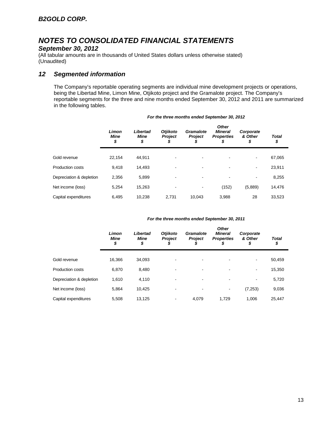## *September 30, 2012*

(All tabular amounts are in thousands of United States dollars unless otherwise stated) (Unaudited)

# *12 Segmented information*

The Company's reportable operating segments are individual mine development projects or operations, being the Libertad Mine, Limon Mine, Otjikoto project and the Gramalote project. The Company's reportable segments for the three and nine months ended September 30, 2012 and 2011 are summarized in the following tables.

|                          | Limon<br><b>Mine</b><br>\$ | Libertad<br>Mine<br>\$ | <b>Otjikoto</b><br><b>Project</b><br>Φ | Gramalote<br><b>Project</b><br>\$ | <b>Other</b><br><b>Mineral</b><br><b>Properties</b><br>\$ | Corporate<br>& Other<br>\$ | <b>Total</b><br>\$ |
|--------------------------|----------------------------|------------------------|----------------------------------------|-----------------------------------|-----------------------------------------------------------|----------------------------|--------------------|
| Gold revenue             | 22.154                     | 44,911                 |                                        |                                   |                                                           |                            | 67,065             |
| <b>Production costs</b>  | 9.418                      | 14.493                 | -                                      | -                                 | $\overline{\phantom{0}}$                                  | $\blacksquare$             | 23,911             |
| Depreciation & depletion | 2,356                      | 5,899                  |                                        | ٠                                 |                                                           | $\overline{\phantom{a}}$   | 8,255              |
| Net income (loss)        | 5,254                      | 15,263                 |                                        |                                   | (152)                                                     | (5,889)                    | 14,476             |
| Capital expenditures     | 6.495                      | 10.238                 | 2.731                                  | 10.043                            | 3.988                                                     | 28                         | 33,523             |

#### *For the three months ended September 30, 2012*

#### *For the three months ended September 30, 2011*

| Limon<br><b>Mine</b><br>\$ | Libertad<br>Mine<br>\$ | <b>Otjikoto</b><br><b>Project</b> | <b>Gramalote</b><br><b>Project</b><br>D | <b>Other</b><br><b>Mineral</b><br><b>Properties</b><br>\$ | Corporate<br>& Other<br>\$ | <b>Total</b><br>\$ |
|----------------------------|------------------------|-----------------------------------|-----------------------------------------|-----------------------------------------------------------|----------------------------|--------------------|
| 16.366                     | 34.093                 |                                   |                                         |                                                           | $\blacksquare$             | 50,459             |
| 6.870                      | 8,480                  |                                   |                                         |                                                           | ۰                          | 15,350             |
| 1,610                      | 4,110                  | -                                 | -                                       |                                                           | $\blacksquare$             | 5,720              |
| 5.864                      | 10.425                 |                                   |                                         |                                                           | (7, 253)                   | 9,036              |
| 5,508                      | 13,125                 |                                   | 4,079                                   | 1.729                                                     | 1,006                      | 25,447             |
|                            |                        |                                   |                                         |                                                           |                            |                    |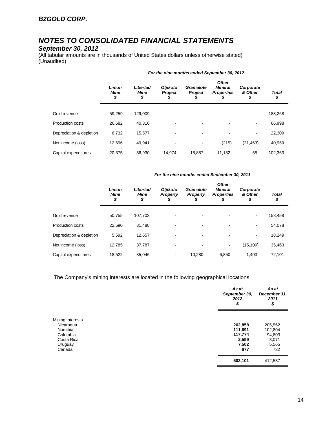# *September 30, 2012*

(All tabular amounts are in thousands of United States dollars unless otherwise stated) (Unaudited)

|                          | Limon<br>Mine<br>\$ | Libertad<br>Mine<br>\$ | <b>Otjikoto</b><br><b>Project</b><br>J | Gramalote<br><b>Project</b><br>s | <b>Other</b><br><b>Mineral</b><br><b>Properties</b><br>S | Corporate<br>& Other<br>\$ | <b>Total</b><br>\$ |
|--------------------------|---------------------|------------------------|----------------------------------------|----------------------------------|----------------------------------------------------------|----------------------------|--------------------|
| Gold revenue             | 59,259              | 129.009                |                                        | -                                |                                                          | $\overline{\phantom{a}}$   | 188,268            |
| Production costs         | 26,682              | 40.316                 |                                        |                                  |                                                          | $\overline{\phantom{a}}$   | 66,998             |
| Depreciation & depletion | 6,732               | 15,577                 |                                        |                                  |                                                          | $\overline{\phantom{a}}$   | 22,309             |
| Net income (loss)        | 12,696              | 49.941                 |                                        | -                                | (215)                                                    | (21, 463)                  | 40,959             |
| Capital expenditures     | 20.375              | 36.930                 | 14.974                                 | 18,887                           | 11,132                                                   | 65                         | 102,363            |

#### *For the nine months ended September 30, 2012*

#### *For the nine months ended September 30, 2011*

|                          | Limon<br><b>Mine</b><br>\$ | Libertad<br>Mine<br>\$ | <b>Otjikoto</b><br><b>Property</b> | Gramalote<br><b>Property</b><br>J | <b>Other</b><br><b>Mineral</b><br><b>Properties</b><br>S | Corporate<br>& Other<br>\$ | <b>Total</b><br>\$ |
|--------------------------|----------------------------|------------------------|------------------------------------|-----------------------------------|----------------------------------------------------------|----------------------------|--------------------|
|                          |                            |                        |                                    |                                   |                                                          |                            |                    |
| Gold revenue             | 50,755                     | 107,703                |                                    |                                   |                                                          | $\overline{\phantom{a}}$   | 158,458            |
| <b>Production costs</b>  | 22,590                     | 31,488                 |                                    |                                   | $\overline{\phantom{0}}$                                 | $\blacksquare$             | 54,078             |
| Depreciation & depletion | 5.592                      | 12,657                 | -                                  | $\overline{\phantom{a}}$          | $\blacksquare$                                           | $\overline{\phantom{a}}$   | 18,249             |
| Net income (loss)        | 12.785                     | 37,787                 |                                    |                                   | $\blacksquare$                                           | (15, 109)                  | 35,463             |
| Capital expenditures     | 18.522                     | 35.046                 | ۰                                  | 10.280                            | 6.850                                                    | 1.403                      | 72.101             |

The Company's mining interests are located in the following geographical locations

|                  | As at<br>September 30,<br>2012<br>\$ | As at<br>December 31,<br>2011<br>\$ |
|------------------|--------------------------------------|-------------------------------------|
| Mining interests |                                      |                                     |
| Nicaragua        | 262,858                              | 205,562                             |
| Namibia          | 111,691                              | 102,804                             |
| Colombia         | 117,774                              | 94,803                              |
| Costa Rica       | 2,599                                | 3,071                               |
| Uruguay          | 7,502                                | 5,565                               |
| Canada           | 677                                  | 732                                 |
|                  | 503,101                              | 412,537                             |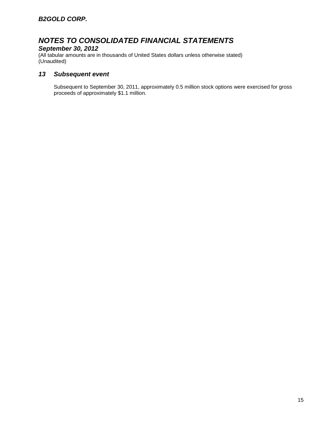# *September 30, 2012*

(All tabular amounts are in thousands of United States dollars unless otherwise stated) (Unaudited)

# *13 Subsequent event*

Subsequent to September 30, 2011, approximately 0.5 million stock options were exercised for gross proceeds of approximately \$1.1 million.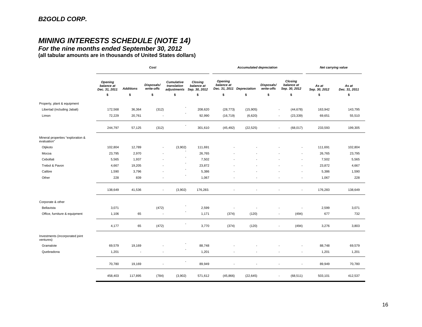# *MINING INTERESTS SCHEDULE (NOTE 14)*

*For the nine months ended September 30, 2012* **(all tabular amounts are in thousands of United States dollars)**

|                                                  |                                               |                  | Cost                     |                                          |                                        |                                                            | <b>Accumulated depreciation</b> |                          |                                        | Net carrying value     |                        |  |
|--------------------------------------------------|-----------------------------------------------|------------------|--------------------------|------------------------------------------|----------------------------------------|------------------------------------------------------------|---------------------------------|--------------------------|----------------------------------------|------------------------|------------------------|--|
|                                                  | <b>Opening</b><br>balance at<br>Dec. 31, 2011 | <b>Additions</b> | Disposals/<br>write-offs | Cumulative<br>translation<br>adjustments | Closing<br>balance at<br>Sep. 30, 2012 | <b>Opening</b><br>balance at<br>Dec. 31, 2011 Depreciation |                                 | Disposals/<br>write-offs | Closing<br>balance at<br>Sep. 30, 2012 | As at<br>Sep. 30, 2012 | As at<br>Dec. 31, 2011 |  |
|                                                  | \$                                            | \$               | \$                       | \$                                       | \$                                     | \$                                                         | \$                              | \$                       | \$                                     | \$                     | \$                     |  |
| Property, plant & equipment                      |                                               |                  |                          |                                          |                                        |                                                            |                                 |                          |                                        |                        |                        |  |
| Libertad (including Jabali)                      | 172,568                                       | 36,364           | (312)                    |                                          | 208,620                                | (28, 773)                                                  | (15,905)                        |                          | (44, 678)<br>$\overline{\phantom{a}}$  | 163,942                | 143,795                |  |
| Limon                                            | 72,229                                        | 20,761           | $\overline{\phantom{a}}$ |                                          | 92,990                                 | (16, 719)                                                  | (6,620)                         |                          | (23, 339)<br>$\overline{\phantom{a}}$  | 69,651                 | 55,510                 |  |
|                                                  | 244,797                                       | 57,125           | (312)                    |                                          | 301,610                                | (45, 492)                                                  | (22, 525)                       |                          | (68, 017)                              | 233,593                | 199,305                |  |
| Mineral properties "exploration &<br>evaluation" |                                               |                  |                          |                                          |                                        |                                                            |                                 |                          |                                        |                        |                        |  |
| Otjikoto                                         | 102,804                                       | 12,789           | $\overline{\phantom{a}}$ | (3,902)                                  | 111,691                                |                                                            |                                 |                          |                                        | 111,691                | 102,804                |  |
| Mocoa                                            | 23,795                                        | 2,970            | ٠                        |                                          | 26,765                                 |                                                            |                                 |                          | $\overline{\phantom{a}}$               | 26,765                 | 23,795                 |  |
| Cebollati                                        | 5,565                                         | 1,937            |                          |                                          | 7,502                                  |                                                            |                                 |                          | $\blacksquare$                         | 7,502                  | 5,565                  |  |
| Trebol & Pavon                                   | 4,667                                         | 19,205           |                          |                                          | 23,872                                 |                                                            |                                 |                          |                                        | 23,872                 | 4,667                  |  |
| Calibre                                          | 1,590                                         | 3,796            |                          |                                          | 5,386                                  |                                                            |                                 |                          |                                        | 5,386                  | 1,590                  |  |
| Other                                            | 228                                           | 839              | $\overline{\phantom{a}}$ |                                          | 1,067                                  |                                                            |                                 |                          | $\overline{\phantom{a}}$               | 1,067                  | 228                    |  |
|                                                  | 138,649                                       | 41,536           | $\overline{\phantom{a}}$ | (3,902)                                  | 176,283.                               |                                                            |                                 |                          | $\blacksquare$                         | 176,283                | 138,649                |  |
| Corporate & other                                |                                               |                  |                          |                                          |                                        |                                                            |                                 |                          |                                        |                        |                        |  |
| Bellavista                                       | 3,071                                         |                  | (472)                    |                                          | 2,599                                  | $\overline{\phantom{a}}$                                   |                                 |                          | $\overline{\phantom{a}}$               | 2,599                  | 3,071                  |  |
| Office, furniture & equipment                    | 1,106                                         | 65               | $\overline{\phantom{a}}$ |                                          | 1,171                                  | (374)                                                      | (120)                           |                          | (494)<br>$\overline{\phantom{a}}$      | 677                    | 732                    |  |
|                                                  | 4,177                                         | 65               | (472)                    |                                          | 3,770                                  | (374)                                                      | (120)                           |                          | (494)                                  | 3,276                  | 3,803                  |  |
| Investments (incorporated joint<br>ventures)     |                                               |                  |                          |                                          |                                        |                                                            |                                 |                          |                                        |                        |                        |  |
| Gramalote                                        | 69,579                                        | 19,169           |                          |                                          | 88,748                                 |                                                            |                                 |                          |                                        | 88,748                 | 69,579                 |  |
| Quebradona                                       | 1,201                                         |                  |                          |                                          | 1,201                                  |                                                            |                                 |                          | $\overline{\phantom{a}}$               | 1,201                  | 1,201                  |  |
|                                                  | 70,780                                        | 19,169           |                          |                                          | 89,949                                 |                                                            |                                 |                          | $\overline{\phantom{a}}$               | 89,949                 | 70,780                 |  |
|                                                  | 458,403                                       | 117,895          | (784)                    | (3,902)                                  | 571,612                                | (45, 866)                                                  | (22, 645)                       |                          | (68, 511)<br>$\overline{\phantom{a}}$  | 503,101                | 412,537                |  |